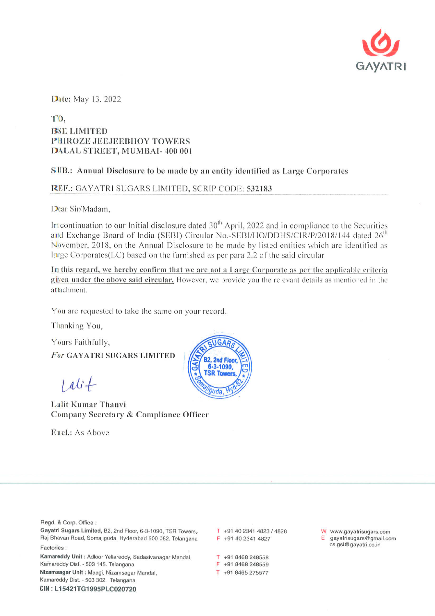

Date: May 13, 2022

## TO, **BSE LIMITED** PHIROZE JEEJEEBHOY TOWERS DALAL STREET, MUMBAI- 400 001

## SUB.: Annual Disclosure to be made by an entity identified as Large Corporates

## REF.: GAYATRI SUGARS LIMITED, SCRIP CODE: 532183

Dear Sir/Madam.

In continuation to our Initial disclosure dated 30<sup>th</sup> April, 2022 and in compliance to the Securities and Exchange Board of India (SEBI) Circular No.-SEBI/HO/DDHS/CIR/P/2018/144 dated 26<sup>th</sup> November, 2018, on the Annual Disclosure to be made by listed entities which are identified as large Corporates (LC) based on the furnished as per para 2.2 of the said circular

In this regard, we hereby confirm that we are not a Large Corporate as per the applicable criteria given under the above said circular. However, we provide you the relevant details as mentioned in the attachment.

You are requested to take the same on your record.

Thanking You,

Yours Faithfully, **For GAYATRI SUGARS LIMITED** 

 $1$  ali  $+$ 

Lalit Kumar Thanvi Company Secretary & Compliance Officer

Encl.: As Above



Regd. & Corp. Office:

Gayatri Sugars Limited, B2, 2nd Floor, 6-3-1090, TSR Towers, Raj Bhavan Road, Somajiguda, Hyderabad 500 082. Telangana Factories:

Kamareddy Unit: Adloor Yellareddy, Sadasivanagar Mandal, Kamareddy Dist. - 503 145. Telangana Nizamsagar Unit: Maagi, Nizamsagar Mandal, Kamareddy Dist. - 503 302. Telangana

CIN: L15421TG1995PLC020720

T +91 40 2341 4823 / 4826 F +91 40 2341 4827

 $T + 918468248558$ F +91 8468 248559

T +91 8465 275577

W www.gayatrisugars.com gayatrisugars@gmail.com cs.gsl@gayatri.co.in